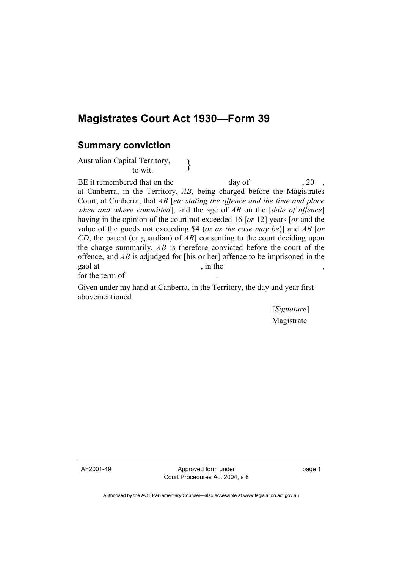## **Magistrates Court Act 1930—Form 39**

## **Summary conviction**

Australian Capital Territory,<br>to wit.

BE it remembered that on the day of , 20 at Canberra, in the Territory, *AB*, being charged before the Magistrates Court, at Canberra, that *AB* [*etc stating the offence and the time and place when and where committed*], and the age of *AB* on the [*date of offence*] having in the opinion of the court not exceeded 16 [*or* 12] years [*or* and the value of the goods not exceeding \$4 (*or as the case may be*)] and *AB* [*or CD*, the parent (or guardian) of *AB*] consenting to the court deciding upon the charge summarily, *AB* is therefore convicted before the court of the offence, and *AB* is adjudged for [his or her] offence to be imprisoned in the gaol at , in the , for the term of

Given under my hand at Canberra, in the Territory, the day and year first abovementioned.

> [*Signature*] Magistrate

AF2001-49 Approved form under Court Procedures Act 2004, s 8 page 1

Authorised by the ACT Parliamentary Counsel—also accessible at www.legislation.act.gov.au